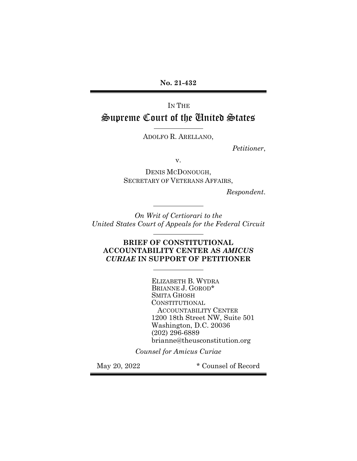No. 21-432

IN THE Supreme Court of the United States

ADOLFO R. ARELLANO,

ı

ı

l.

ı

Petitioner,

v.

DENIS MCDONOUGH, SECRETARY OF VETERANS AFFAIRS,

Respondent.

On Writ of Certiorari to the United States Court of Appeals for the Federal Circuit

BRIEF OF CONSTITUTIONAL ACCOUNTABILITY CENTER AS AMICUS CURIAE IN SUPPORT OF PETITIONER

> ELIZABETH B. WYDRA BRIANNE J. GOROD\* SMITA GHOSH CONSTITUTIONAL ACCOUNTABILITY CENTER 1200 18th Street NW, Suite 501 Washington, D.C. 20036 (202) 296-6889 brianne@theusconstitution.org

Counsel for Amicus Curiae

May 20, 2022 **\*** Counsel of Record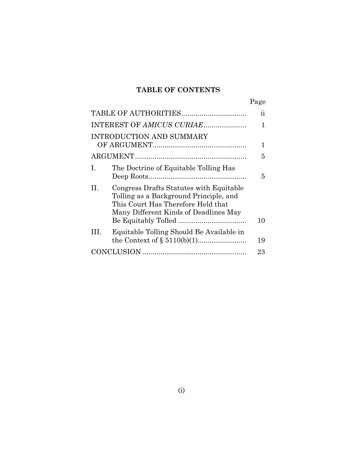# TABLE OF CONTENTS

|--|

| INTEREST OF AMICUS CURIAE                                                                                                                                              |    |  |  |  |  |
|------------------------------------------------------------------------------------------------------------------------------------------------------------------------|----|--|--|--|--|
| INTRODUCTION AND SUMMARY                                                                                                                                               |    |  |  |  |  |
|                                                                                                                                                                        |    |  |  |  |  |
| The Doctrine of Equitable Tolling Has<br>Ι.                                                                                                                            | 5  |  |  |  |  |
| Congress Drafts Statutes with Equitable<br>Н.<br>Tolling as a Background Principle, and<br>This Court Has Therefore Held that<br>Many Different Kinds of Deadlines May | 10 |  |  |  |  |
| Equitable Tolling Should Be Available in<br>HL.                                                                                                                        | 19 |  |  |  |  |
|                                                                                                                                                                        |    |  |  |  |  |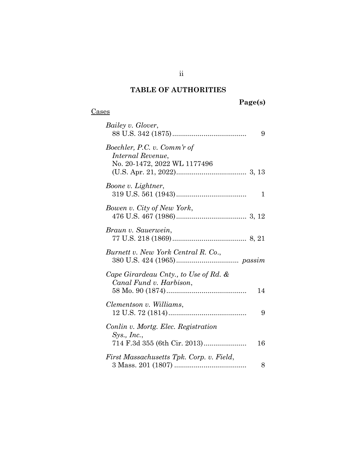# TABLE OF AUTHORITIES

# Page(s)

### **Cases**

| Bailey v. Glover,                                                                | 9  |
|----------------------------------------------------------------------------------|----|
| Boechler, P.C. v. Comm'r of<br>Internal Revenue,<br>No. 20-1472, 2022 WL 1177496 |    |
| Boone v. Lightner,                                                               | 1  |
| Bowen v. City of New York,                                                       |    |
| Braun v. Sauerwein,                                                              |    |
| Burnett v. New York Central R. Co.,                                              |    |
| Cape Girardeau Cnty., to Use of Rd. &<br>Canal Fund v. Harbison,                 | 14 |
| Clementson v. Williams,                                                          | 9  |
| Conlin v. Mortg. Elec. Registration<br>Sys., Inc.,                               | 16 |
| First Massachusetts Tpk. Corp. v. Field,                                         | 8  |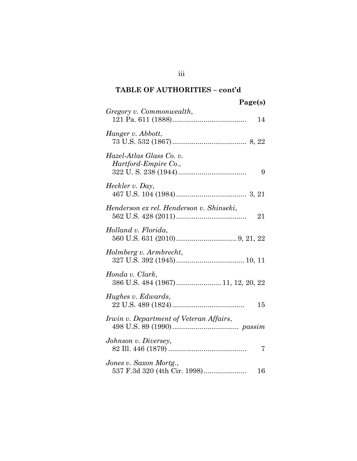| Page(s) |
|---------|
|---------|

| Gregory v. Commonwealth,<br>14                               |
|--------------------------------------------------------------|
| Hanger v. Abbott,                                            |
| Hazel-Atlas Glass Co. v.<br>Hartford-Empire Co.,<br>9        |
| Heckler v. Day,                                              |
| Henderson ex rel. Henderson v. Shinseki,<br>21               |
| Holland v. Florida,                                          |
| Holmberg v. Armbrecht,                                       |
| Honda v. Clark,<br>386 U.S. 484 (1967) 11, 12, 20, 22        |
| Hughes v. Edwards,<br>15                                     |
| Irwin v. Department of Veteran Affairs,                      |
| Johnson v. Diversey,<br>7                                    |
| Jones v. Saxon Mortg.,<br>537 F.3d 320 (4th Cir. 1998)<br>16 |

iii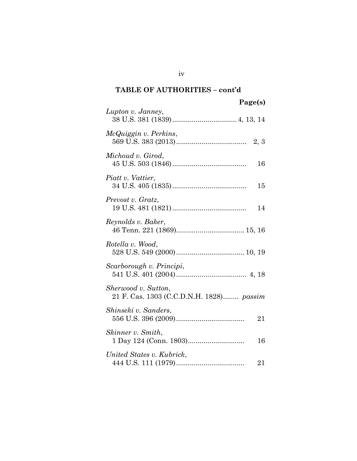| Lupton v. Janney,                                               |
|-----------------------------------------------------------------|
| McQuiggin v. Perkins,                                           |
| Michoud v. Girod,<br>16                                         |
| Piatt v. Vattier,<br>15                                         |
| Prevost v. Gratz,<br>14                                         |
| Reynolds v. Baker,                                              |
| Rotella v. Wood,                                                |
| Scarborough v. Principi,                                        |
| Sherwood v. Sutton,<br>21 F. Cas. 1303 (C.C.D.N.H. 1828) passim |
| Shinseki v. Sanders,<br>21                                      |
| Skinner v. Smith,<br>16                                         |
| United States v. Kubrick,<br>21                                 |

iv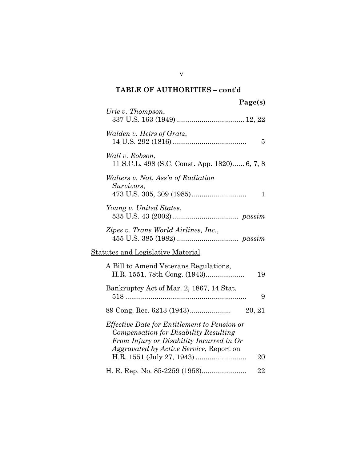| Page(s) |  |
|---------|--|
|---------|--|

| Urie v. Thompson,                                                                                                                                                                                       |
|---------------------------------------------------------------------------------------------------------------------------------------------------------------------------------------------------------|
| Walden v. Heirs of Gratz,<br>5                                                                                                                                                                          |
| Wall v. Robson,<br>11 S.C.L. 498 (S.C. Const. App. 1820) 6, 7, 8                                                                                                                                        |
| Walters v. Nat. Ass'n of Radiation<br>Survivors,<br>1                                                                                                                                                   |
| Young v. United States,                                                                                                                                                                                 |
| Zipes v. Trans World Airlines, Inc.,                                                                                                                                                                    |
| Statutes and Legislative Material                                                                                                                                                                       |
| A Bill to Amend Veterans Regulations,<br>19                                                                                                                                                             |
| Bankruptcy Act of Mar. 2, 1867, 14 Stat.<br>9                                                                                                                                                           |
| 20, 21                                                                                                                                                                                                  |
| <i>Effective Date for Entitlement to Pension or</i><br><b>Compensation for Disability Resulting</b><br>From Injury or Disability Incurred in Or<br><i>Aggravated by Active Service, Report on</i><br>20 |
| 22                                                                                                                                                                                                      |

v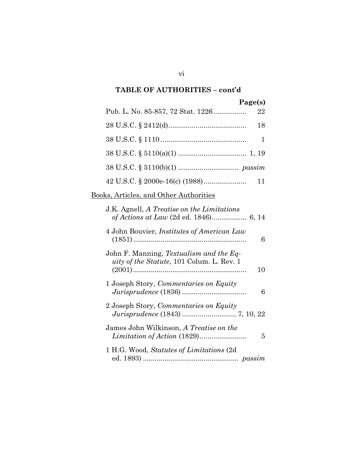| Page(s)                                                                                    |
|--------------------------------------------------------------------------------------------|
| Pub. L. No. 85-857, 72 Stat. 1226<br>22                                                    |
| 18                                                                                         |
| 1                                                                                          |
|                                                                                            |
|                                                                                            |
| 11                                                                                         |
| <u>Books, Articles, and Other Authorities</u>                                              |
| J.K. Agnell, A Treatise on the Limitations                                                 |
| 4 John Bouvier, Institutes of American Law<br>6                                            |
| John F. Manning, Textualism and the Eq-<br>uity of the Statute, 101 Colum. L. Rev. 1<br>10 |
| 1 Joseph Story, Commentaries on Equity<br>6                                                |
| 2 Joseph Story, Commentaries on Equity                                                     |
| James John Wilkinson, A Treatise on the<br>5                                               |
| 1 H.G. Wood, <i>Statutes of Limitations</i> (2d)                                           |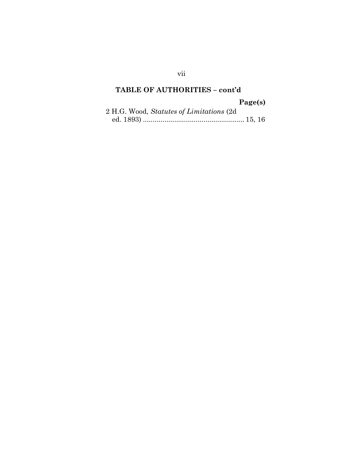#### Page(s)

|  |  | 2 H.G. Wood, Statutes of Limitations (2d) |  |  |  |
|--|--|-------------------------------------------|--|--|--|
|  |  |                                           |  |  |  |

vii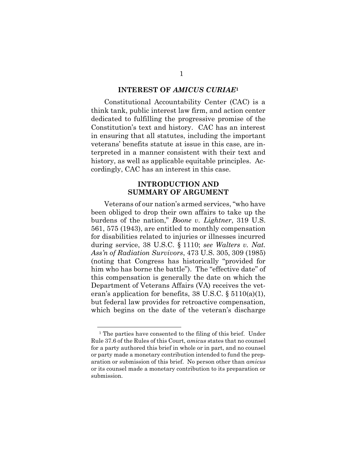#### INTEREST OF AMICUS CURIAE<sup>1</sup>

Constitutional Accountability Center (CAC) is a think tank, public interest law firm, and action center dedicated to fulfilling the progressive promise of the Constitution's text and history. CAC has an interest in ensuring that all statutes, including the important veterans' benefits statute at issue in this case, are interpreted in a manner consistent with their text and history, as well as applicable equitable principles. Accordingly, CAC has an interest in this case.

#### INTRODUCTION AND SUMMARY OF ARGUMENT

Veterans of our nation's armed services, "who have been obliged to drop their own affairs to take up the burdens of the nation," Boone v. Lightner, 319 U.S. 561, 575 (1943), are entitled to monthly compensation for disabilities related to injuries or illnesses incurred during service, 38 U.S.C. § 1110; see Walters v. Nat. Ass'n of Radiation Survivors, 473 U.S. 305, 309 (1985) (noting that Congress has historically "provided for him who has borne the battle"). The "effective date" of this compensation is generally the date on which the Department of Veterans Affairs (VA) receives the veteran's application for benefits,  $38 \text{ U.S.C.}$  §  $5110(a)(1)$ , but federal law provides for retroactive compensation, which begins on the date of the veteran's discharge

<sup>&</sup>lt;sup>1</sup> The parties have consented to the filing of this brief. Under Rule 37.6 of the Rules of this Court, amicus states that no counsel for a party authored this brief in whole or in part, and no counsel or party made a monetary contribution intended to fund the preparation or submission of this brief. No person other than amicus or its counsel made a monetary contribution to its preparation or submission.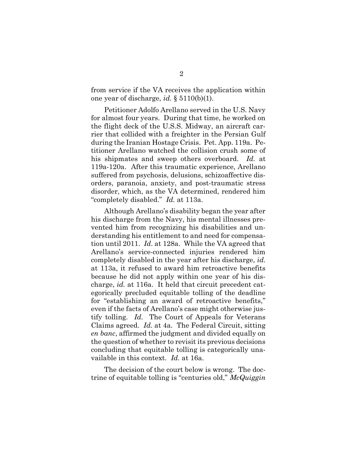from service if the VA receives the application within one year of discharge, *id.*  $\S 5110(b)(1)$ .

Petitioner Adolfo Arellano served in the U.S. Navy for almost four years. During that time, he worked on the flight deck of the U.S.S. Midway, an aircraft carrier that collided with a freighter in the Persian Gulf during the Iranian Hostage Crisis. Pet. App. 119a. Petitioner Arellano watched the collision crush some of his shipmates and sweep others overboard. Id. at 119a-120a. After this traumatic experience, Arellano suffered from psychosis, delusions, schizoaffective disorders, paranoia, anxiety, and post-traumatic stress disorder, which, as the VA determined, rendered him "completely disabled." Id. at 113a.

Although Arellano's disability began the year after his discharge from the Navy, his mental illnesses prevented him from recognizing his disabilities and understanding his entitlement to and need for compensation until 2011. Id. at 128a. While the VA agreed that Arellano's service-connected injuries rendered him completely disabled in the year after his discharge, id. at 113a, it refused to award him retroactive benefits because he did not apply within one year of his discharge, id. at 116a. It held that circuit precedent categorically precluded equitable tolling of the deadline for "establishing an award of retroactive benefits," even if the facts of Arellano's case might otherwise justify tolling. Id. The Court of Appeals for Veterans Claims agreed. Id. at 4a. The Federal Circuit, sitting en banc, affirmed the judgment and divided equally on the question of whether to revisit its previous decisions concluding that equitable tolling is categorically unavailable in this context. Id. at 16a.

The decision of the court below is wrong. The doctrine of equitable tolling is "centuries old,"  $McQuiggin$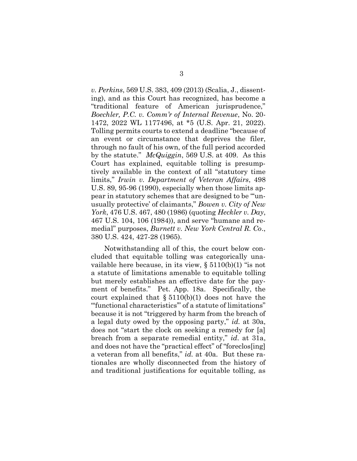v. Perkins, 569 U.S. 383, 409 (2013) (Scalia, J., dissenting), and as this Court has recognized, has become a "traditional feature of American jurisprudence," Boechler, P.C. v. Comm'r of Internal Revenue, No. 20- 1472, 2022 WL 1177496, at \*5 (U.S. Apr. 21, 2022). Tolling permits courts to extend a deadline "because of an event or circumstance that deprives the filer, through no fault of his own, of the full period accorded by the statute."  $McQuiggin$ , 569 U.S. at 409. As this Court has explained, equitable tolling is presumptively available in the context of all "statutory time limits," Irwin v. Department of Veteran Affairs, 498 U.S. 89, 95-96 (1990), especially when those limits appear in statutory schemes that are designed to be "'unusually protective' of claimants," Bowen v. City of New York, 476 U.S. 467, 480 (1986) (quoting *Heckler v. Day*, 467 U.S. 104, 106 (1984)), and serve "humane and remedial" purposes, Burnett v. New York Central R. Co., 380 U.S. 424, 427-28 (1965).

Notwithstanding all of this, the court below concluded that equitable tolling was categorically unavailable here because, in its view, § 5110(b)(1) "is not a statute of limitations amenable to equitable tolling but merely establishes an effective date for the payment of benefits." Pet. App. 18a. Specifically, the court explained that  $\S 5110(b)(1)$  does not have the "'functional characteristics'" of a statute of limitations" because it is not "triggered by harm from the breach of a legal duty owed by the opposing party," id. at 30a, does not "start the clock on seeking a remedy for [a] breach from a separate remedial entity," id. at 31a, and does not have the "practical effect" of "foreclos[ing] a veteran from all benefits," id. at 40a. But these rationales are wholly disconnected from the history of and traditional justifications for equitable tolling, as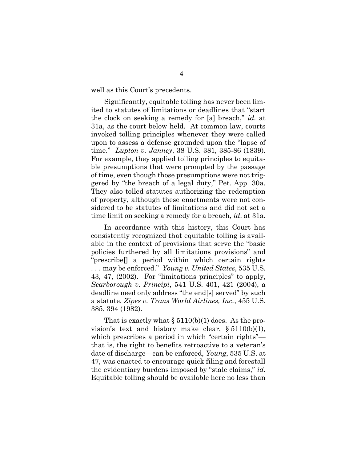well as this Court's precedents.

Significantly, equitable tolling has never been limited to statutes of limitations or deadlines that "start the clock on seeking a remedy for [a] breach," id. at 31a, as the court below held. At common law, courts invoked tolling principles whenever they were called upon to assess a defense grounded upon the "lapse of time." Lupton v. Janney, 38 U.S. 381, 385-86 (1839). For example, they applied tolling principles to equitable presumptions that were prompted by the passage of time, even though those presumptions were not triggered by "the breach of a legal duty," Pet. App. 30a. They also tolled statutes authorizing the redemption of property, although these enactments were not considered to be statutes of limitations and did not set a time limit on seeking a remedy for a breach, *id.* at 31a.

In accordance with this history, this Court has consistently recognized that equitable tolling is available in the context of provisions that serve the "basic policies furthered by all limitations provisions" and "prescribe[] a period within which certain rights ... may be enforced." Young v. United States, 535 U.S. 43, 47, (2002). For "limitations principles" to apply, Scarborough v. Principi, 541 U.S. 401, 421 (2004), a deadline need only address "the end[s] served" by such a statute, Zipes v. Trans World Airlines, Inc., 455 U.S. 385, 394 (1982).

That is exactly what  $\S 5110(b)(1)$  does. As the provision's text and history make clear, § 5110(b)(1), which prescribes a period in which "certain rights" that is, the right to benefits retroactive to a veteran's date of discharge—can be enforced, Young, 535 U.S. at 47, was enacted to encourage quick filing and forestall the evidentiary burdens imposed by "stale claims," id. Equitable tolling should be available here no less than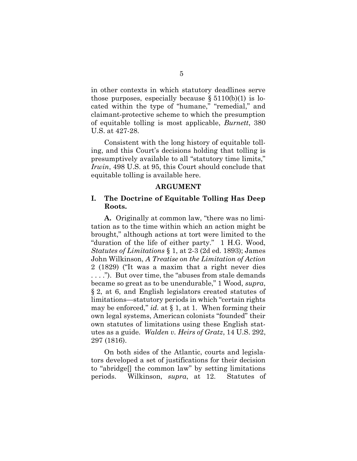in other contexts in which statutory deadlines serve those purposes, especially because  $\S 5110(b)(1)$  is located within the type of "humane," "remedial," and claimant-protective scheme to which the presumption of equitable tolling is most applicable, Burnett, 380 U.S. at 427-28.

Consistent with the long history of equitable tolling, and this Court's decisions holding that tolling is presumptively available to all "statutory time limits," Irwin, 498 U.S. at 95, this Court should conclude that equitable tolling is available here.

#### ARGUMENT

#### I. The Doctrine of Equitable Tolling Has Deep Roots.

A. Originally at common law, "there was no limitation as to the time within which an action might be brought," although actions at tort were limited to the "duration of the life of either party." 1 H.G. Wood, Statutes of Limitations § 1, at 2-3 (2d ed. 1893); James John Wilkinson, A Treatise on the Limitation of Action 2 (1829) ("It was a maxim that a right never dies . . . ."). But over time, the "abuses from stale demands became so great as to be unendurable," 1 Wood, supra, § 2, at 6, and English legislators created statutes of limitations—statutory periods in which "certain rights may be enforced," id. at  $\S 1$ , at 1. When forming their own legal systems, American colonists "founded" their own statutes of limitations using these English statutes as a guide. Walden v. Heirs of Gratz, 14 U.S. 292, 297 (1816).

On both sides of the Atlantic, courts and legislators developed a set of justifications for their decision to "abridge[] the common law" by setting limitations periods. Wilkinson, supra, at 12. Statutes of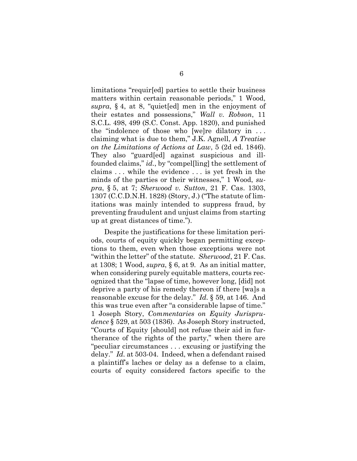limitations "requir[ed] parties to settle their business matters within certain reasonable periods," 1 Wood, supra, § 4, at 8, "quiet[ed] men in the enjoyment of their estates and possessions," Wall v. Robson, 11 S.C.L. 498, 499 (S.C. Const. App. 1820), and punished the "indolence of those who [we]re dilatory in . . . claiming what is due to them," J.K. Agnell, A Treatise on the Limitations of Actions at Law, 5 (2d ed. 1846). They also "guard[ed] against suspicious and illfounded claims," id., by "compel[ling] the settlement of claims . . . while the evidence . . . is yet fresh in the minds of the parties or their witnesses," 1 Wood, supra, § 5, at 7; Sherwood v. Sutton, 21 F. Cas. 1303, 1307 (C.C.D.N.H. 1828) (Story, J.) ("The statute of limitations was mainly intended to suppress fraud, by preventing fraudulent and unjust claims from starting up at great distances of time.").

Despite the justifications for these limitation periods, courts of equity quickly began permitting exceptions to them, even when those exceptions were not "within the letter" of the statute. *Sherwood*, 21 F. Cas. at 1308; 1 Wood, supra, § 6, at 9. As an initial matter, when considering purely equitable matters, courts recognized that the "lapse of time, however long, [did] not deprive a party of his remedy thereon if there [wa]s a reasonable excuse for the delay." Id. § 59, at 146. And this was true even after "a considerable lapse of time." 1 Joseph Story, Commentaries on Equity Jurisprudence § 529, at 503 (1836). As Joseph Story instructed, "Courts of Equity [should] not refuse their aid in furtherance of the rights of the party," when there are "peculiar circumstances . . . excusing or justifying the delay." Id. at 503-04. Indeed, when a defendant raised a plaintiff's laches or delay as a defense to a claim, courts of equity considered factors specific to the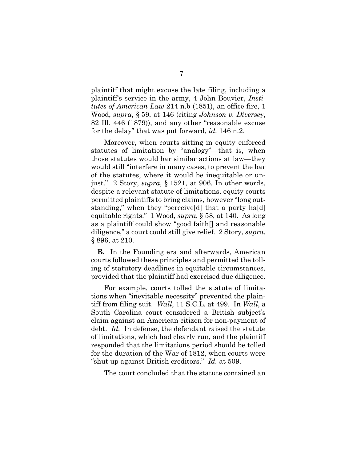plaintiff that might excuse the late filing, including a plaintiff's service in the army, 4 John Bouvier, Institutes of American Law 214 n.b (1851), an office fire, 1 Wood, supra, § 59, at 146 (citing Johnson v. Diversey, 82 Ill. 446 (1879)), and any other "reasonable excuse for the delay" that was put forward, *id.* 146 n.2.

Moreover, when courts sitting in equity enforced statutes of limitation by "analogy"—that is, when those statutes would bar similar actions at law—they would still "interfere in many cases, to prevent the bar of the statutes, where it would be inequitable or unjust." 2 Story, supra, § 1521, at 906. In other words, despite a relevant statute of limitations, equity courts permitted plaintiffs to bring claims, however "long outstanding," when they "perceive[d] that a party ha[d] equitable rights." 1 Wood, supra, § 58, at 140. As long as a plaintiff could show "good faith[] and reasonable diligence," a court could still give relief. 2 Story, supra, § 896, at 210.

B. In the Founding era and afterwards, American courts followed these principles and permitted the tolling of statutory deadlines in equitable circumstances, provided that the plaintiff had exercised due diligence.

For example, courts tolled the statute of limitations when "inevitable necessity" prevented the plaintiff from filing suit. Wall, 11 S.C.L. at 499. In Wall, a South Carolina court considered a British subject's claim against an American citizen for non-payment of debt. Id. In defense, the defendant raised the statute of limitations, which had clearly run, and the plaintiff responded that the limitations period should be tolled for the duration of the War of 1812, when courts were "shut up against British creditors." Id. at 509.

The court concluded that the statute contained an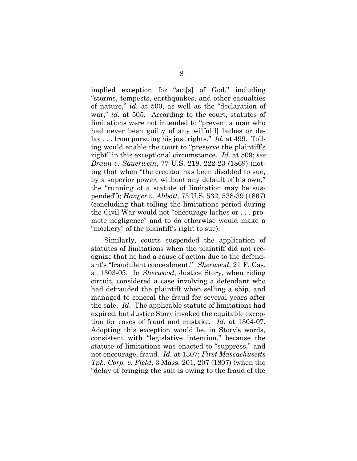implied exception for "act[s] of God," including "storms, tempests, earthquakes, and other casualties of nature," id. at 500, as well as the "declaration of war," id. at 505. According to the court, statutes of limitations were not intended to "prevent a man who had never been guilty of any wilful<sup>[1]</sup> laches or delay . . . from pursuing his just rights." *Id.* at 499. Tolling would enable the court to "preserve the plaintiff's right" in this exceptional circumstance. Id. at 509; see Braun v. Sauerwein, 77 U.S. 218, 222-23 (1869) (noting that when "the creditor has been disabled to sue, by a superior power, without any default of his own," the "running of a statute of limitation may be suspended"); Hanger v. Abbott, 73 U.S. 532, 538-39 (1867) (concluding that tolling the limitations period during the Civil War would not "encourage laches or . . . promote negligence" and to do otherwise would make a "mockery" of the plaintiff's right to sue).

Similarly, courts suspended the application of statutes of limitations when the plaintiff did not recognize that he had a cause of action due to the defendant's "fraudulent concealment." Sherwood, 21 F. Cas. at 1303-05. In Sherwood, Justice Story, when riding circuit, considered a case involving a defendant who had defrauded the plaintiff when selling a ship, and managed to conceal the fraud for several years after the sale. Id. The applicable statute of limitations had expired, but Justice Story invoked the equitable exception for cases of fraud and mistake. Id. at 1304-07. Adopting this exception would be, in Story's words, consistent with "legislative intention," because the statute of limitations was enacted to "suppress," and not encourage, fraud. Id. at 1307; First Massachusetts Tpk. Corp. v. Field, 3 Mass. 201, 207 (1807) (when the "delay of bringing the suit is owing to the fraud of the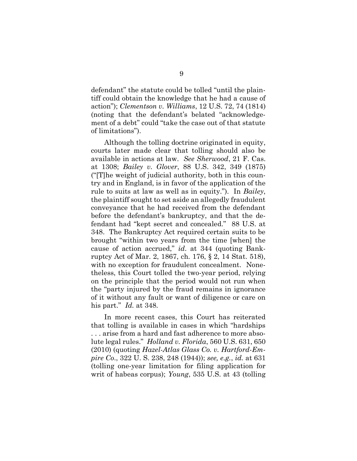defendant" the statute could be tolled "until the plaintiff could obtain the knowledge that he had a cause of action"); Clementson v. Williams, 12 U.S. 72, 74 (1814) (noting that the defendant's belated "acknowledgement of a debt" could "take the case out of that statute of limitations").

Although the tolling doctrine originated in equity, courts later made clear that tolling should also be available in actions at law. See Sherwood, 21 F. Cas. at 1308; Bailey v. Glover, 88 U.S. 342, 349 (1875) ("[T]he weight of judicial authority, both in this country and in England, is in favor of the application of the rule to suits at law as well as in equity."). In Bailey, the plaintiff sought to set aside an allegedly fraudulent conveyance that he had received from the defendant before the defendant's bankruptcy, and that the defendant had "kept secret and concealed." 88 U.S. at 348. The Bankruptcy Act required certain suits to be brought "within two years from the time [when] the cause of action accrued," id. at 344 (quoting Bankruptcy Act of Mar. 2, 1867, ch. 176, § 2, 14 Stat. 518), with no exception for fraudulent concealment. Nonetheless, this Court tolled the two-year period, relying on the principle that the period would not run when the "party injured by the fraud remains in ignorance of it without any fault or want of diligence or care on his part." Id. at 348.

In more recent cases, this Court has reiterated that tolling is available in cases in which "hardships . . . arise from a hard and fast adherence to more absolute legal rules." Holland v. Florida, 560 U.S. 631, 650 (2010) (quoting Hazel-Atlas Glass Co. v. Hartford-Empire Co., 322 U. S. 238, 248 (1944)); see, e.g., id. at 631 (tolling one-year limitation for filing application for writ of habeas corpus); Young, 535 U.S. at 43 (tolling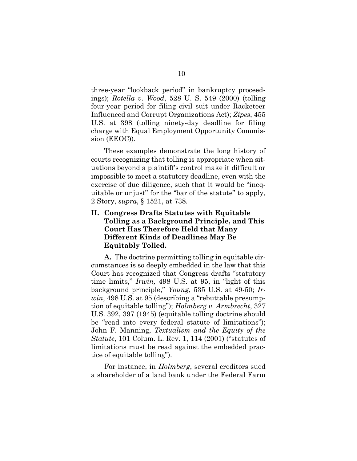three-year "lookback period" in bankruptcy proceedings); Rotella v. Wood, 528 U. S. 549 (2000) (tolling four-year period for filing civil suit under Racketeer Influenced and Corrupt Organizations Act); Zipes, 455 U.S. at 398 (tolling ninety-day deadline for filing charge with Equal Employment Opportunity Commission (EEOC)).

These examples demonstrate the long history of courts recognizing that tolling is appropriate when situations beyond a plaintiff's control make it difficult or impossible to meet a statutory deadline, even with the exercise of due diligence, such that it would be "inequitable or unjust" for the "bar of the statute" to apply, 2 Story, supra, § 1521, at 738.

### II. Congress Drafts Statutes with Equitable Tolling as a Background Principle, and This Court Has Therefore Held that Many Different Kinds of Deadlines May Be Equitably Tolled.

A. The doctrine permitting tolling in equitable circumstances is so deeply embedded in the law that this Court has recognized that Congress drafts "statutory time limits," Irwin, 498 U.S. at 95, in "light of this background principle," Young, 535 U.S. at 49-50; Irwin, 498 U.S. at 95 (describing a "rebuttable presumption of equitable tolling"); Holmberg v. Armbrecht, 327 U.S. 392, 397 (1945) (equitable tolling doctrine should be "read into every federal statute of limitations"); John F. Manning, Textualism and the Equity of the Statute, 101 Colum. L. Rev. 1, 114 (2001) ("statutes of limitations must be read against the embedded practice of equitable tolling").

For instance, in *Holmberg*, several creditors sued a shareholder of a land bank under the Federal Farm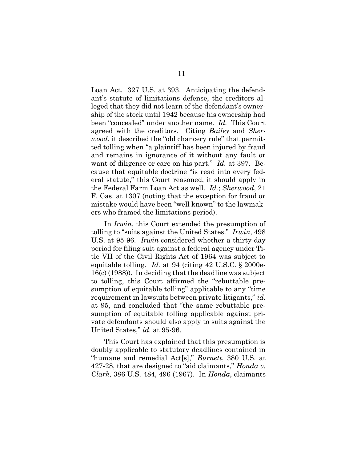Loan Act. 327 U.S. at 393. Anticipating the defendant's statute of limitations defense, the creditors alleged that they did not learn of the defendant's ownership of the stock until 1942 because his ownership had been "concealed" under another name. Id. This Court agreed with the creditors. Citing Bailey and Sherwood, it described the "old chancery rule" that permitted tolling when "a plaintiff has been injured by fraud and remains in ignorance of it without any fault or want of diligence or care on his part." Id. at 397. Because that equitable doctrine "is read into every federal statute," this Court reasoned, it should apply in the Federal Farm Loan Act as well. Id.; Sherwood, 21 F. Cas. at 1307 (noting that the exception for fraud or mistake would have been "well known" to the lawmakers who framed the limitations period).

In *Irwin*, this Court extended the presumption of tolling to "suits against the United States." Irwin, 498 U.S. at 95-96. Irwin considered whether a thirty-day period for filing suit against a federal agency under Title VII of the Civil Rights Act of 1964 was subject to equitable tolling. Id. at 94 (citing 42 U.S.C.  $\S 2000$ e-16(c) (1988)). In deciding that the deadline was subject to tolling, this Court affirmed the "rebuttable presumption of equitable tolling" applicable to any "time requirement in lawsuits between private litigants," id. at 95, and concluded that "the same rebuttable presumption of equitable tolling applicable against private defendants should also apply to suits against the United States," id. at 95-96.

This Court has explained that this presumption is doubly applicable to statutory deadlines contained in "humane and remedial Act[s]," *Burnett*, 380 U.S. at 427-28, that are designed to "aid claimants," *Honda v*. Clark, 386 U.S. 484, 496 (1967). In Honda, claimants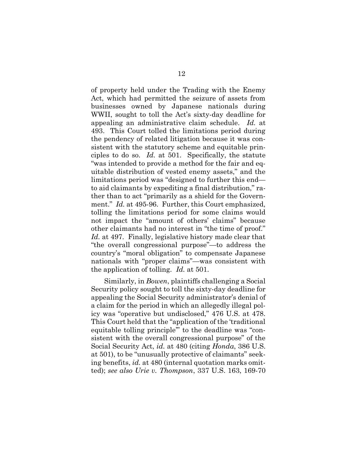of property held under the Trading with the Enemy Act, which had permitted the seizure of assets from businesses owned by Japanese nationals during WWII, sought to toll the Act's sixty-day deadline for appealing an administrative claim schedule. Id. at 493. This Court tolled the limitations period during the pendency of related litigation because it was consistent with the statutory scheme and equitable principles to do so. Id. at 501. Specifically, the statute "was intended to provide a method for the fair and equitable distribution of vested enemy assets," and the limitations period was "designed to further this end to aid claimants by expediting a final distribution," rather than to act "primarily as a shield for the Government." *Id.* at 495-96. Further, this Court emphasized, tolling the limitations period for some claims would not impact the "amount of others' claims" because other claimants had no interest in "the time of proof." Id. at 497. Finally, legislative history made clear that "the overall congressional purpose"—to address the country's "moral obligation" to compensate Japanese nationals with "proper claims"—was consistent with the application of tolling. Id. at 501.

Similarly, in Bowen, plaintiffs challenging a Social Security policy sought to toll the sixty-day deadline for appealing the Social Security administrator's denial of a claim for the period in which an allegedly illegal policy was "operative but undisclosed," 476 U.S. at 478. This Court held that the "application of the 'traditional equitable tolling principle'" to the deadline was "consistent with the overall congressional purpose" of the Social Security Act, *id.* at 480 (citing *Honda*, 386 U.S. at 501), to be "unusually protective of claimants" seeking benefits, id. at 480 (internal quotation marks omitted); see also Urie v. Thompson, 337 U.S. 163, 169-70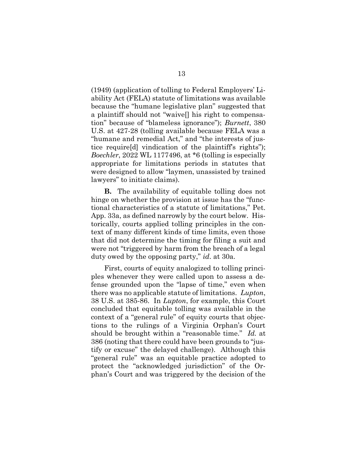(1949) (application of tolling to Federal Employers' Liability Act (FELA) statute of limitations was available because the "humane legislative plan" suggested that a plaintiff should not "waive[] his right to compensation" because of "blameless ignorance"); Burnett, 380 U.S. at 427-28 (tolling available because FELA was a "humane and remedial Act," and "the interests of justice require[d] vindication of the plaintiff's rights"); Boechler, 2022 WL 1177496, at \*6 (tolling is especially appropriate for limitations periods in statutes that were designed to allow "laymen, unassisted by trained lawyers" to initiate claims).

B. The availability of equitable tolling does not hinge on whether the provision at issue has the "functional characteristics of a statute of limitations," Pet. App. 33a, as defined narrowly by the court below. Historically, courts applied tolling principles in the context of many different kinds of time limits, even those that did not determine the timing for filing a suit and were not "triggered by harm from the breach of a legal duty owed by the opposing party," id. at 30a.

First, courts of equity analogized to tolling principles whenever they were called upon to assess a defense grounded upon the "lapse of time," even when there was no applicable statute of limitations. Lupton, 38 U.S. at 385-86. In Lupton, for example, this Court concluded that equitable tolling was available in the context of a "general rule" of equity courts that objections to the rulings of a Virginia Orphan's Court should be brought within a "reasonable time." Id. at 386 (noting that there could have been grounds to "justify or excuse" the delayed challenge). Although this "general rule" was an equitable practice adopted to protect the "acknowledged jurisdiction" of the Orphan's Court and was triggered by the decision of the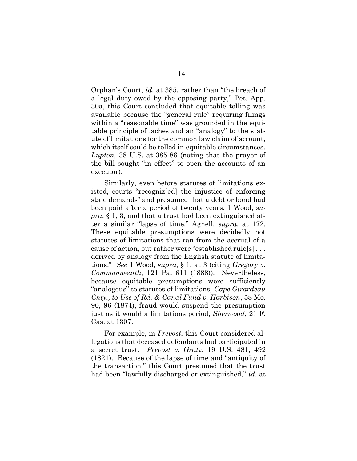Orphan's Court, id. at 385, rather than "the breach of a legal duty owed by the opposing party," Pet. App. 30a, this Court concluded that equitable tolling was available because the "general rule" requiring filings within a "reasonable time" was grounded in the equitable principle of laches and an "analogy" to the statute of limitations for the common law claim of account, which itself could be tolled in equitable circumstances. Lupton, 38 U.S. at 385-86 (noting that the prayer of the bill sought "in effect" to open the accounts of an executor).

Similarly, even before statutes of limitations existed, courts "recogniz[ed] the injustice of enforcing stale demands" and presumed that a debt or bond had been paid after a period of twenty years, 1 Wood, su $pra$ , § 1, 3, and that a trust had been extinguished after a similar "lapse of time," Agnell, supra, at 172. These equitable presumptions were decidedly not statutes of limitations that ran from the accrual of a cause of action, but rather were "established rule[s] . . . derived by analogy from the English statute of limitations." See 1 Wood, supra,  $\S 1$ , at 3 (citing Gregory v. Commonwealth, 121 Pa. 611 (1888)). Nevertheless, because equitable presumptions were sufficiently "analogous" to statutes of limitations, Cape Girardeau Cnty., to Use of Rd. & Canal Fund v. Harbison, 58 Mo. 90, 96 (1874), fraud would suspend the presumption just as it would a limitations period, Sherwood, 21 F. Cas. at 1307.

For example, in *Prevost*, this Court considered allegations that deceased defendants had participated in a secret trust. Prevost v. Gratz, 19 U.S. 481, 492 (1821). Because of the lapse of time and "antiquity of the transaction," this Court presumed that the trust had been "lawfully discharged or extinguished," *id.* at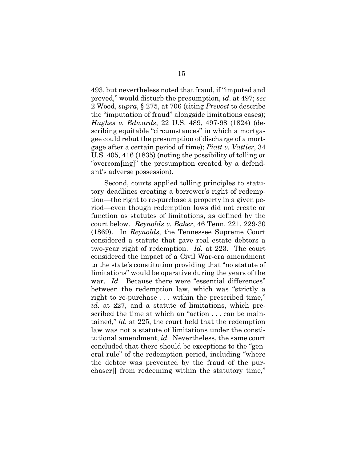493, but nevertheless noted that fraud, if "imputed and proved," would disturb the presumption, id. at 497; see 2 Wood, supra, § 275, at 706 (citing Prevost to describe the "imputation of fraud" alongside limitations cases); Hughes v. Edwards, 22 U.S. 489, 497-98 (1824) (describing equitable "circumstances" in which a mortgagee could rebut the presumption of discharge of a mortgage after a certain period of time); Piatt v. Vattier, 34 U.S. 405, 416 (1835) (noting the possibility of tolling or "overcom[ing]" the presumption created by a defendant's adverse possession).

Second, courts applied tolling principles to statutory deadlines creating a borrower's right of redemption—the right to re-purchase a property in a given period—even though redemption laws did not create or function as statutes of limitations, as defined by the court below. Reynolds v. Baker, 46 Tenn. 221, 229-30 (1869). In Reynolds, the Tennessee Supreme Court considered a statute that gave real estate debtors a two-year right of redemption. Id. at 223. The court considered the impact of a Civil War-era amendment to the state's constitution providing that "no statute of limitations" would be operative during the years of the war. Id. Because there were "essential differences" between the redemption law, which was "strictly a right to re-purchase . . . within the prescribed time," id. at 227, and a statute of limitations, which prescribed the time at which an "action . . . can be maintained," id. at 225, the court held that the redemption law was not a statute of limitations under the constitutional amendment, id. Nevertheless, the same court concluded that there should be exceptions to the "general rule" of the redemption period, including "where the debtor was prevented by the fraud of the purchaser[] from redeeming within the statutory time,"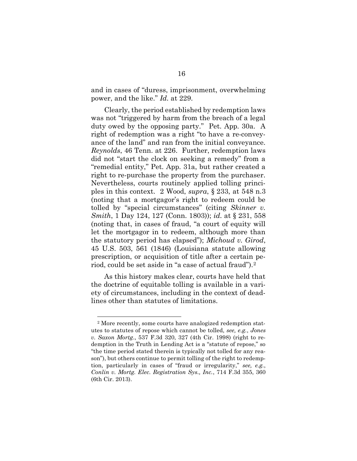and in cases of "duress, imprisonment, overwhelming power, and the like." Id. at 229.

Clearly, the period established by redemption laws was not "triggered by harm from the breach of a legal duty owed by the opposing party." Pet. App. 30a. A right of redemption was a right "to have a re-conveyance of the land" and ran from the initial conveyance. Reynolds, 46 Tenn. at 226. Further, redemption laws did not "start the clock on seeking a remedy" from a "remedial entity," Pet. App. 31a, but rather created a right to re-purchase the property from the purchaser. Nevertheless, courts routinely applied tolling principles in this context. 2 Wood, supra, § 233, at 548 n.3 (noting that a mortgagor's right to redeem could be tolled by "special circumstances" (citing Skinner v. Smith, 1 Day 124, 127 (Conn. 1803)); id. at § 231, 558 (noting that, in cases of fraud, "a court of equity will let the mortgagor in to redeem, although more than the statutory period has elapsed"); Michoud v. Girod, 45 U.S. 503, 561 (1846) (Louisiana statute allowing prescription, or acquisition of title after a certain period, could be set aside in "a case of actual fraud").<sup>2</sup>

As this history makes clear, courts have held that the doctrine of equitable tolling is available in a variety of circumstances, including in the context of deadlines other than statutes of limitations.

<sup>2</sup> More recently, some courts have analogized redemption statutes to statutes of repose which cannot be tolled, see, e.g., Jones v. Saxon Mortg., 537 F.3d 320, 327 (4th Cir. 1998) (right to redemption in the Truth in Lending Act is a "statute of repose," so "the time period stated therein is typically not tolled for any reason"), but others continue to permit tolling of the right to redemption, particularly in cases of "fraud or irregularity," see, e.g., Conlin v. Mortg. Elec. Registration Sys., Inc., 714 F.3d 355, 360 (6th Cir. 2013).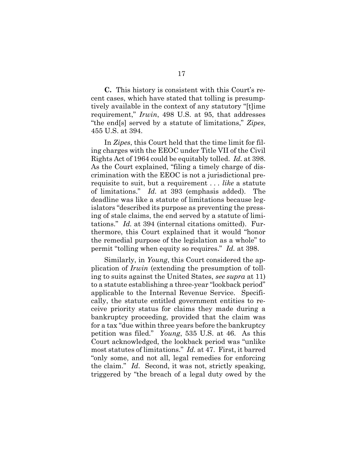C. This history is consistent with this Court's recent cases, which have stated that tolling is presumptively available in the context of any statutory "[t]ime requirement," Irwin, 498 U.S. at 95, that addresses "the end[s] served by a statute of limitations," Zipes, 455 U.S. at 394.

In *Zipes*, this Court held that the time limit for filing charges with the EEOC under Title VII of the Civil Rights Act of 1964 could be equitably tolled. Id. at 398. As the Court explained, "filing a timely charge of discrimination with the EEOC is not a jurisdictional prerequisite to suit, but a requirement . . . like a statute of limitations." Id. at 393 (emphasis added). The deadline was like a statute of limitations because legislators "described its purpose as preventing the pressing of stale claims, the end served by a statute of limitations." Id. at 394 (internal citations omitted). Furthermore, this Court explained that it would "honor the remedial purpose of the legislation as a whole" to permit "tolling when equity so requires." Id. at 398.

Similarly, in Young, this Court considered the application of Irwin (extending the presumption of tolling to suits against the United States, see supra at 11) to a statute establishing a three-year "lookback period" applicable to the Internal Revenue Service. Specifically, the statute entitled government entities to receive priority status for claims they made during a bankruptcy proceeding, provided that the claim was for a tax "due within three years before the bankruptcy petition was filed." Young, 535 U.S. at 46. As this Court acknowledged, the lookback period was "unlike most statutes of limitations." Id. at 47. First, it barred "only some, and not all, legal remedies for enforcing the claim." Id. Second, it was not, strictly speaking, triggered by "the breach of a legal duty owed by the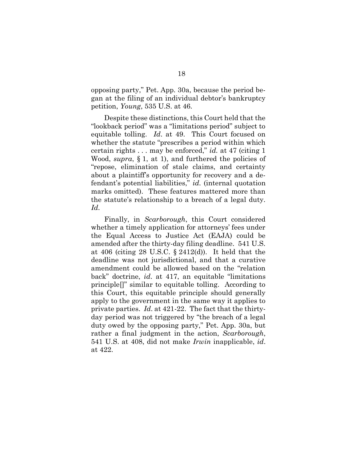opposing party," Pet. App. 30a, because the period began at the filing of an individual debtor's bankruptcy petition, Young, 535 U.S. at 46.

Despite these distinctions, this Court held that the "lookback period" was a "limitations period" subject to equitable tolling. Id. at 49. This Court focused on whether the statute "prescribes a period within which certain rights  $\dots$  may be enforced," id. at 47 (citing 1) Wood, supra,  $\S$  1, at 1), and furthered the policies of "repose, elimination of stale claims, and certainty about a plaintiff's opportunity for recovery and a defendant's potential liabilities," id. (internal quotation marks omitted). These features mattered more than the statute's relationship to a breach of a legal duty. Id.

Finally, in *Scarborough*, this Court considered whether a timely application for attorneys' fees under the Equal Access to Justice Act (EAJA) could be amended after the thirty-day filing deadline. 541 U.S. at 406 (citing 28 U.S.C.  $\S$  2412(d)). It held that the deadline was not jurisdictional, and that a curative amendment could be allowed based on the "relation back" doctrine, id. at 417, an equitable "limitations principle[]" similar to equitable tolling. According to this Court, this equitable principle should generally apply to the government in the same way it applies to private parties. Id. at 421-22. The fact that the thirtyday period was not triggered by "the breach of a legal duty owed by the opposing party," Pet. App. 30a, but rather a final judgment in the action, Scarborough, 541 U.S. at 408, did not make Irwin inapplicable, id. at 422.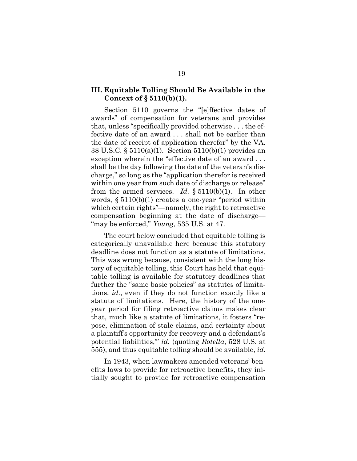### III. Equitable Tolling Should Be Available in the Context of  $\S 5110(b)(1)$ .

Section 5110 governs the "[e]ffective dates of awards" of compensation for veterans and provides that, unless "specifically provided otherwise . . . the effective date of an award . . . shall not be earlier than the date of receipt of application therefor" by the VA. 38 U.S.C. § 5110(a)(1). Section 5110(b)(1) provides an exception wherein the "effective date of an award . . . shall be the day following the date of the veteran's discharge," so long as the "application therefor is received within one year from such date of discharge or release" from the armed services. Id.  $\S 5110(b)(1)$ . In other words, § 5110(b)(1) creates a one-year "period within which certain rights"—namely, the right to retroactive compensation beginning at the date of discharge— "may be enforced," Young, 535 U.S. at 47.

The court below concluded that equitable tolling is categorically unavailable here because this statutory deadline does not function as a statute of limitations. This was wrong because, consistent with the long history of equitable tolling, this Court has held that equitable tolling is available for statutory deadlines that further the "same basic policies" as statutes of limitations, id., even if they do not function exactly like a statute of limitations. Here, the history of the oneyear period for filing retroactive claims makes clear that, much like a statute of limitations, it fosters "repose, elimination of stale claims, and certainty about a plaintiff's opportunity for recovery and a defendant's potential liabilities,'" id. (quoting Rotella, 528 U.S. at 555), and thus equitable tolling should be available,  $id.$ 

In 1943, when lawmakers amended veterans' benefits laws to provide for retroactive benefits, they initially sought to provide for retroactive compensation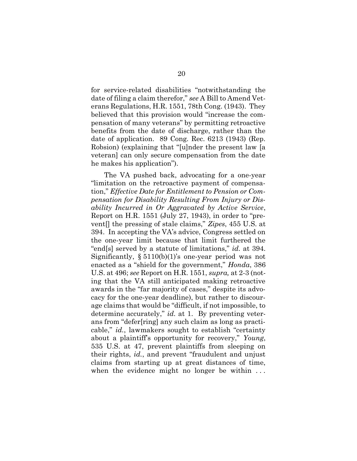for service-related disabilities "notwithstanding the date of filing a claim therefor," see A Bill to Amend Veterans Regulations, H.R. 1551, 78th Cong. (1943). They believed that this provision would "increase the compensation of many veterans" by permitting retroactive benefits from the date of discharge, rather than the date of application. 89 Cong. Rec. 6213 (1943) (Rep. Robsion) (explaining that "[u]nder the present law [a veteran] can only secure compensation from the date he makes his application").

The VA pushed back, advocating for a one-year "limitation on the retroactive payment of compensation," Effective Date for Entitlement to Pension or Compensation for Disability Resulting From Injury or Disability Incurred in Or Aggravated by Active Service, Report on H.R. 1551 (July 27, 1943), in order to "prevent[] the pressing of stale claims," Zipes, 455 U.S. at 394. In accepting the VA's advice, Congress settled on the one-year limit because that limit furthered the "end[s] served by a statute of limitations," id. at 394. Significantly,  $\S 5110(b)(1)$ 's one-year period was not enacted as a "shield for the government," Honda, 386 U.S. at 496; see Report on H.R. 1551, supra, at 2-3 (noting that the VA still anticipated making retroactive awards in the "far majority of cases," despite its advocacy for the one-year deadline), but rather to discourage claims that would be "difficult, if not impossible, to determine accurately," *id.* at 1. By preventing veterans from "defer[ring] any such claim as long as practicable," id., lawmakers sought to establish "certainty about a plaintiff's opportunity for recovery," Young, 535 U.S. at 47, prevent plaintiffs from sleeping on their rights, id., and prevent "fraudulent and unjust claims from starting up at great distances of time, when the evidence might no longer be within ...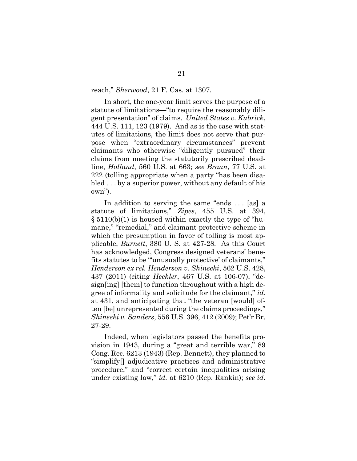reach," Sherwood, 21 F. Cas. at 1307.

In short, the one-year limit serves the purpose of a statute of limitations—"to require the reasonably diligent presentation" of claims. United States v. Kubrick, 444 U.S. 111, 123 (1979). And as is the case with statutes of limitations, the limit does not serve that purpose when "extraordinary circumstances" prevent claimants who otherwise "diligently pursued" their claims from meeting the statutorily prescribed deadline, Holland, 560 U.S. at 663; see Braun, 77 U.S. at 222 (tolling appropriate when a party "has been disabled . . . by a superior power, without any default of his own").

In addition to serving the same "ends . . . [as] a statute of limitations," Zipes, 455 U.S. at 394, § 5110(b)(1) is housed within exactly the type of "humane," "remedial," and claimant-protective scheme in which the presumption in favor of tolling is most applicable, Burnett, 380 U. S. at 427-28. As this Court has acknowledged, Congress designed veterans' benefits statutes to be "unusually protective' of claimants," Henderson ex rel. Henderson v. Shinseki, 562 U.S. 428, 437 (2011) (citing Heckler, 467 U.S. at 106-07), "design[ing] [them] to function throughout with a high degree of informality and solicitude for the claimant," id. at 431, and anticipating that "the veteran [would] often [be] unrepresented during the claims proceedings," Shinseki v. Sanders, 556 U.S. 396, 412 (2009); Pet'r Br. 27-29.

Indeed, when legislators passed the benefits provision in 1943, during a "great and terrible war," 89 Cong. Rec. 6213 (1943) (Rep. Bennett), they planned to "simplify[] adjudicative practices and administrative procedure," and "correct certain inequalities arising under existing law," id. at 6210 (Rep. Rankin); see id.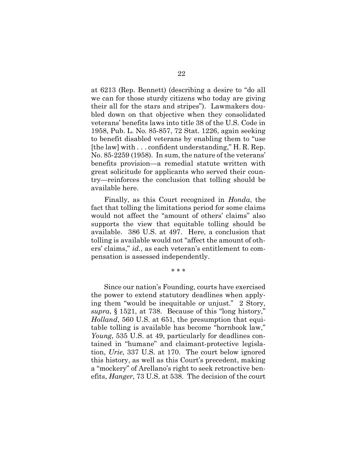at 6213 (Rep. Bennett) (describing a desire to "do all we can for those sturdy citizens who today are giving their all for the stars and stripes"). Lawmakers doubled down on that objective when they consolidated veterans' benefits laws into title 38 of the U.S. Code in 1958, Pub. L. No. 85-857, 72 Stat. 1226, again seeking to benefit disabled veterans by enabling them to "use [the law] with . . . confident understanding," H. R. Rep. No. 85-2259 (1958). In sum, the nature of the veterans' benefits provision—a remedial statute written with great solicitude for applicants who served their country—reinforces the conclusion that tolling should be available here.

Finally, as this Court recognized in Honda, the fact that tolling the limitations period for some claims would not affect the "amount of others' claims" also supports the view that equitable tolling should be available. 386 U.S. at 497. Here, a conclusion that tolling is available would not "affect the amount of others' claims," id., as each veteran's entitlement to compensation is assessed independently.

\* \* \*

Since our nation's Founding, courts have exercised the power to extend statutory deadlines when applying them "would be inequitable or unjust." 2 Story, supra, § 1521, at 738. Because of this "long history," Holland, 560 U.S. at 651, the presumption that equitable tolling is available has become "hornbook law," Young, 535 U.S. at 49, particularly for deadlines contained in "humane" and claimant-protective legislation, Urie, 337 U.S. at 170. The court below ignored this history, as well as this Court's precedent, making a "mockery" of Arellano's right to seek retroactive benefits, Hanger, 73 U.S. at 538. The decision of the court